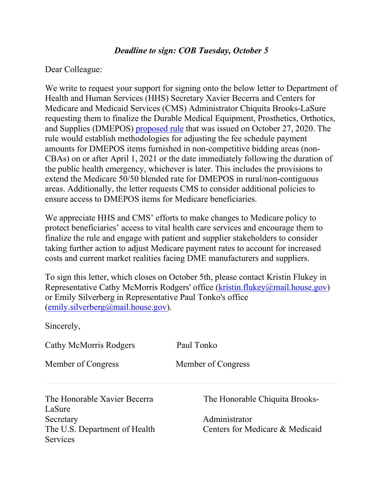## *Deadline to sign: COB Tuesday, October 5*

## Dear Colleague:

We write to request your support for signing onto the below letter to Department of Health and Human Services (HHS) Secretary Xavier Becerra and Centers for Medicare and Medicaid Services (CMS) Administrator Chiquita Brooks-LaSure requesting them to finalize the Durable Medical Equipment, Prosthetics, Orthotics, and Supplies (DMEPOS) [proposed rule](https://protect-us.mimecast.com/s/R9CFClYMRWcAnqojcGWx32?domain=cms.gov) that was issued on October 27, 2020. The rule would establish methodologies for adjusting the fee schedule payment amounts for DMEPOS items furnished in non-competitive bidding areas (non-CBAs) on or after April 1, 2021 or the date immediately following the duration of the public health emergency, whichever is later. This includes the provisions to extend the Medicare 50/50 blended rate for DMEPOS in rural/non-contiguous areas. Additionally, the letter requests CMS to consider additional policies to ensure access to DMEPOS items for Medicare beneficiaries.

We appreciate HHS and CMS' efforts to make changes to Medicare policy to protect beneficiaries' access to vital health care services and encourage them to finalize the rule and engage with patient and supplier stakeholders to consider taking further action to adjust Medicare payment rates to account for increased costs and current market realities facing DME manufacturers and suppliers.

To sign this letter, which closes on October 5th, please contact Kristin Flukey in Representative Cathy McMorris Rodgers' office [\(kristin.flukey@mail.house.gov\)](mailto:kristin.flukey@mail.house.gov) or Emily Silverberg in Representative Paul Tonko's office [\(emily.silverberg@mail.house.gov\)](mailto:emily.silverberg@mail.house.gov).

Sincerely,

Cathy McMorris Rodgers Paul Tonko

Member of Congress Member of Congress

LaSure Secretary **Administrator Services** 

The Honorable Xavier Becerra The Honorable Chiquita Brooks-

The U.S. Department of Health Centers for Medicare & Medicaid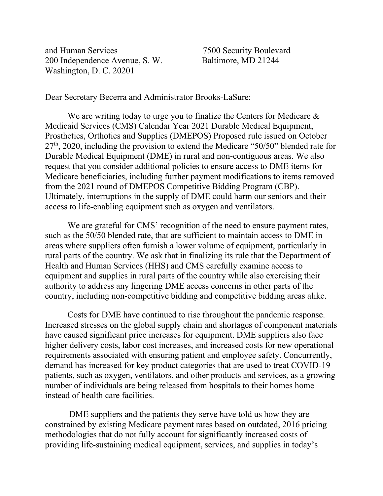and Human Services 7500 Security Boulevard 200 Independence Avenue, S. W. Baltimore, MD 21244 Washington, D. C. 20201

Dear Secretary Becerra and Administrator Brooks-LaSure:

We are writing today to urge you to finalize the Centers for Medicare  $\&$ Medicaid Services (CMS) Calendar Year 2021 Durable Medical Equipment, Prosthetics, Orthotics and Supplies (DMEPOS) Proposed rule issued on October 27th, 2020, including the provision to extend the Medicare "50/50" blended rate for Durable Medical Equipment (DME) in rural and non-contiguous areas. We also request that you consider additional policies to ensure access to DME items for Medicare beneficiaries, including further payment modifications to items removed from the 2021 round of DMEPOS Competitive Bidding Program (CBP). Ultimately, interruptions in the supply of DME could harm our seniors and their access to life-enabling equipment such as oxygen and ventilators.

We are grateful for CMS' recognition of the need to ensure payment rates, such as the 50/50 blended rate, that are sufficient to maintain access to DME in areas where suppliers often furnish a lower volume of equipment, particularly in rural parts of the country. We ask that in finalizing its rule that the Department of Health and Human Services (HHS) and CMS carefully examine access to equipment and supplies in rural parts of the country while also exercising their authority to address any lingering DME access concerns in other parts of the country, including non-competitive bidding and competitive bidding areas alike.

Costs for DME have continued to rise throughout the pandemic response. Increased stresses on the global supply chain and shortages of component materials have caused significant price increases for equipment. DME suppliers also face higher delivery costs, labor cost increases, and increased costs for new operational requirements associated with ensuring patient and employee safety. Concurrently, demand has increased for key product categories that are used to treat COVID-19 patients, such as oxygen, ventilators, and other products and services, as a growing number of individuals are being released from hospitals to their homes home instead of health care facilities.

DME suppliers and the patients they serve have told us how they are constrained by existing Medicare payment rates based on outdated, 2016 pricing methodologies that do not fully account for significantly increased costs of providing life-sustaining medical equipment, services, and supplies in today's